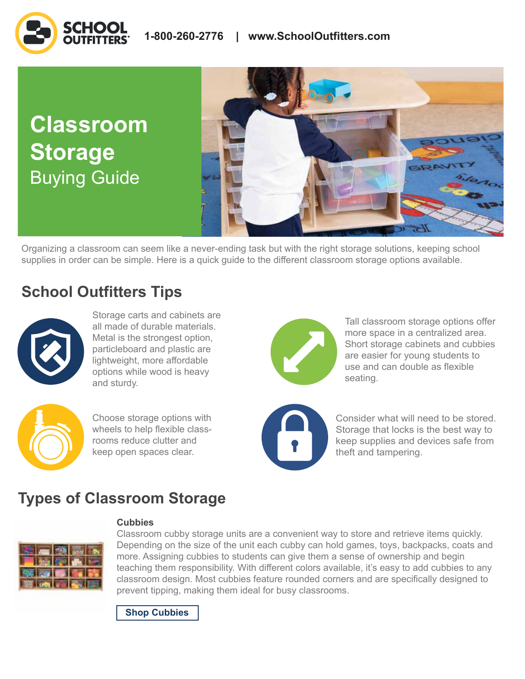# **Classroom Storage** Buying Guide



Organizing a classroom can seem like a never-ending task but with the right storage solutions, keeping school supplies in order can be simple. Here is a quick guide to the different classroom storage options available.

# **School Outfitters Tips**



Storage carts and cabinets are all made of durable materials. Metal is the strongest option, particleboard and plastic are lightweight, more affordable options while wood is heavy and sturdy.



Choose storage options with wheels to help flexible classrooms reduce clutter and keep open spaces clear.



Tall classroom storage options offer more space in a centralized area. Short storage cabinets and cubbies are easier for young students to use and can double as flexible seating.



Consider what will need to be stored. Storage that locks is the best way to keep supplies and devices safe from theft and tampering.

# **Types of Classroom Storage**



### **Cubbies**

Classroom cubby storage units are a convenient way to store and retrieve items quickly. Depending on the size of the unit each cubby can hold games, toys, backpacks, coats and more. Assigning cubbies to students can give them a sense of ownership and begin teaching them responsibility. With different colors available, it's easy to add cubbies to any classroom design. Most cubbies feature rounded corners and are specifically designed to prevent tipping, making them ideal for busy classrooms.

**[Shop Cubbies](https://www.schooloutfitters.com/catalog/default/cPath/CAT3355_CAT4461_CAT4464?sc_cid=BuyingGuide_ClassromStorage_ProductLinks_ShopCubbies)**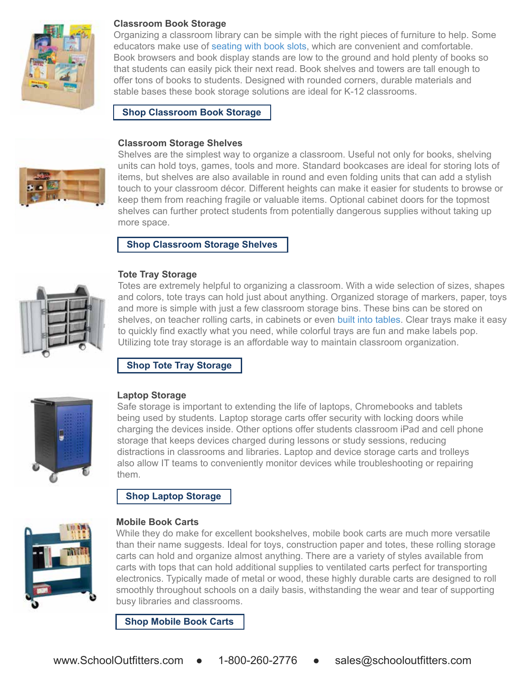

### **Classroom Book Storage**

Organizing a classroom library can be simple with the right pieces of furniture to help. Some educators make use of [seating with book slots,](https://www.schooloutfitters.com/catalog/product_family_info/pfam_id/PFAM11835?sc_cid=BuyingGuide_ClassromStorage_ProductLinks_SeatingWithBookSlots) which are convenient and comfortable. Book browsers and book display stands are low to the ground and hold plenty of books so that students can easily pick their next read. Book shelves and towers are tall enough to offer tons of books to students. Designed with rounded corners, durable materials and stable bases these book storage solutions are ideal for K-12 classrooms.

**[Shop Classroom Book Storage](https://www.schooloutfitters.com/catalog/default/cPath/CAT3355_CAT4461_CAT4463?sc_cid=BuyingGuide_ClassromStorage_ProductLinks_ShopClassroomBookStorage)** 

#### **Classroom Storage Shelves**



Shelves are the simplest way to organize a classroom. Useful not only for books, shelving units can hold toys, games, tools and more. Standard bookcases are ideal for storing lots of items, but shelves are also available in round and even folding units that can add a stylish touch to your classroom décor. Different heights can make it easier for students to browse or keep them from reaching fragile or valuable items. Optional cabinet doors for the topmost shelves can further protect students from potentially dangerous supplies without taking up more space.

## **[Shop Classroom Storage Shelves](https://www.schooloutfitters.com/catalog/default/cPath/CAT3355_CAT4461_CAT4465?sc_cid=BuyingGuide_ClassromStorage_ProductLinks_ShopClassroomStorageShelves)**



Totes are extremely helpful to organizing a classroom. With a wide selection of sizes, shapes and colors, tote trays can hold just about anything. Organized storage of markers, paper, toys and more is simple with just a few classroom storage bins. These bins can be stored on shelves, on teacher rolling carts, in cabinets or even [built into tables.](https://www.schooloutfitters.com/catalog/product_info?pfam_id=PFAM67516&products_id=PRO77773&envmkt=Img2?sc_cid=BuyingGuide_ClassromStorage_ProductLinks_BuiltIntoTables) Clear trays make it easy to quickly find exactly what you need, while colorful trays are fun and make labels pop. Utilizing tote tray storage is an affordable way to maintain classroom organization.

# **[Shop Tote Tray Storage](https://www.schooloutfitters.com/catalog/default/cPath/CAT9_CAT636?page=viewall&view=grid?sc_cid=BuyingGuide_ClassromStorage_ProductLinks_ShopToteTrayStorage)**



### **Laptop Storage**

**Tote Tray Storage** 

Safe storage is important to extending the life of laptops, Chromebooks and tablets being used by students. Laptop storage carts offer security with locking doors while charging the devices inside. Other options offer students classroom iPad and cell phone storage that keeps devices charged during lessons or study sessions, reducing distractions in classrooms and libraries. Laptop and device storage carts and trolleys also allow IT teams to conveniently monitor devices while troubleshooting or repairing them.

# **[Shop Laptop Storage](https://www.schooloutfitters.com/catalog/default/cPath/CAT3355_CAT3617?sc_cid=BuyingGuide_ClassromStorage_ProductLinks_ShopLaptopStorage)**



### **Mobile Book Carts**

While they do make for excellent bookshelves, mobile book carts are much more versatile than their name suggests. Ideal for toys, construction paper and totes, these rolling storage carts can hold and organize almost anything. There are a variety of styles available from carts with tops that can hold additional supplies to ventilated carts perfect for transporting electronics. Typically made of metal or wood, these highly durable carts are designed to roll smoothly throughout schools on a daily basis, withstanding the wear and tear of supporting busy libraries and classrooms.

**[Shop Mobile Book Carts](https://www.schooloutfitters.com/catalog/default/cPath/CAT3500_CAT4471_CAT4472?sc_cid=BuyingGuide_ClassromStorage_ProductLinks_ShopMobileBookCarts)**